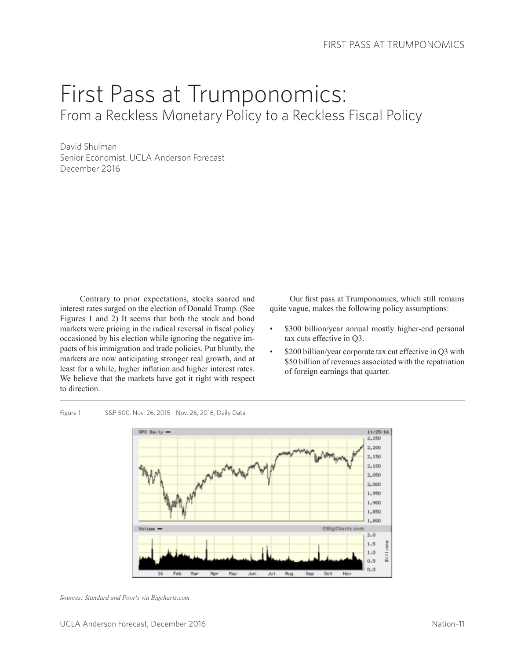# First Pass at Trumponomics: From a Reckless Monetary Policy to a Reckless Fiscal Policy

David Shulman Senior Economist, UCLA Anderson Forecast December 2016

Contrary to prior expectations, stocks soared and interest rates surged on the election of Donald Trump. (See Figures 1 and 2) It seems that both the stock and bond markets were pricing in the radical reversal in fiscal policy occasioned by his election while ignoring the negative impacts of his immigration and trade policies. Put bluntly, the markets are now anticipating stronger real growth, and at least for a while, higher inflation and higher interest rates. We believe that the markets have got it right with respect to direction.

Figure 1 S&P 500, Nov. 26, 2015 - Nov. 26, 2016, Daily Data

Our first pass at Trumponomics, which still remains quite vague, makes the following policy assumptions:

- \$300 billion/year annual mostly higher-end personal tax cuts effective in Q3.
- \$200 billion/year corporate tax cut effective in Q3 with \$50 billion of revenues associated with the repatriation of foreign earnings that quarter.

 $11/25/16$ 2,250





*Sources: Standard and Poor's via Bigcharts.com*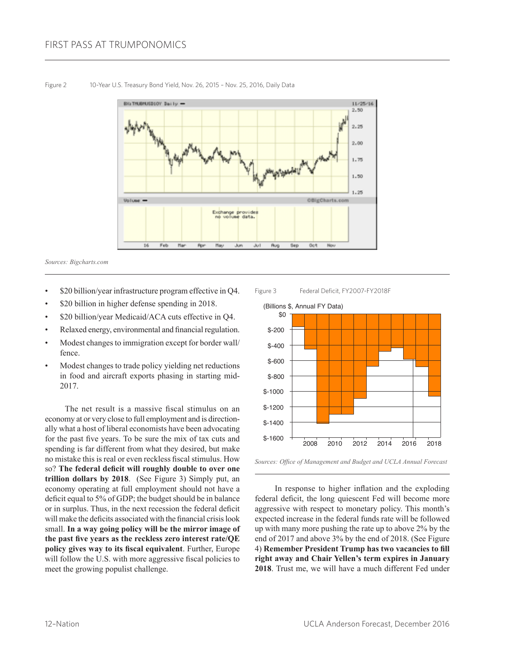

Figure 2 10-Year U.S. Treasury Bond Yield, Nov. 26, 2015 – Nov. 25, 2016, Daily Data

*Sources: Bigcharts.com*

- \$20 billion/year infrastructure program effective in Q4.
- \$20 billion in higher defense spending in 2018.
- \$20 billion/year Medicaid/ACA cuts effective in Q4.
- Relaxed energy, environmental and financial regulation.
- Modest changes to immigration except for border wall/ fence.
- Modest changes to trade policy yielding net reductions in food and aircraft exports phasing in starting mid-2017.

The net result is a massive fiscal stimulus on an economy at or very close to full employment and is directionally what a host of liberal economists have been advocating for the past five years. To be sure the mix of tax cuts and spending is far different from what they desired, but make no mistake this is real or even reckless fiscal stimulus. How so? **The federal deficit will roughly double to over one trillion dollars by 2018**. (See Figure 3) Simply put, an economy operating at full employment should not have a deficit equal to 5% of GDP; the budget should be in balance or in surplus. Thus, in the next recession the federal deficit will make the deficits associated with the financial crisis look small. **In a way going policy will be the mirror image of the past five years as the reckless zero interest rate/QE policy gives way to its fiscal equivalent**. Further, Europe will follow the U.S. with more aggressive fiscal policies to meet the growing populist challenge.

#### Figure 3 Federal Deficit, FY2007-FY2018F



*Sources: Office of Management and Budget and UCLA Annual Forecast* 

In response to higher inflation and the exploding federal deficit, the long quiescent Fed will become more aggressive with respect to monetary policy. This month's expected increase in the federal funds rate will be followed up with many more pushing the rate up to above 2% by the end of 2017 and above 3% by the end of 2018. (See Figure 4) **Remember President Trump has two vacancies to fill right away and Chair Yellen's term expires in January 2018**. Trust me, we will have a much different Fed under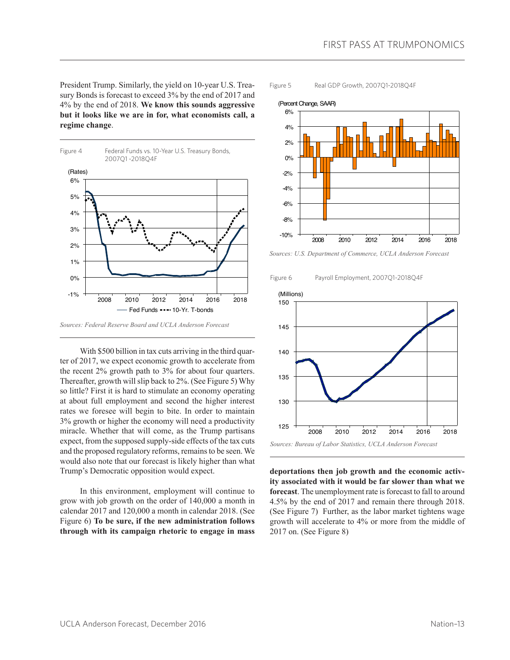President Trump. Similarly, the yield on 10-year U.S. Treasury Bonds is forecast to exceed 3% by the end of 2017 and 4% by the end of 2018. **We know this sounds aggressive but it looks like we are in for, what economists call, a regime change**.



With \$500 billion in tax cuts arriving in the third quarter of 2017, we expect economic growth to accelerate from the recent 2% growth path to 3% for about four quarters. Thereafter, growth will slip back to 2%. (See Figure 5) Why so little? First it is hard to stimulate an economy operating at about full employment and second the higher interest rates we foresee will begin to bite. In order to maintain 3% growth or higher the economy will need a productivity miracle. Whether that will come, as the Trump partisans expect, from the supposed supply-side effects of the tax cuts and the proposed regulatory reforms, remains to be seen. We would also note that our forecast is likely higher than what Trump's Democratic opposition would expect.

In this environment, employment will continue to grow with job growth on the order of 140,000 a month in calendar 2017 and 120,000 a month in calendar 2018. (See Figure 6) **To be sure, if the new administration follows through with its campaign rhetoric to engage in mass** 





*Sources: U.S. Department of Commerce, UCLA Anderson Forecast*





**deportations then job growth and the economic activity associated with it would be far slower than what we forecast**. The unemployment rate is forecast to fall to around 4.5% by the end of 2017 and remain there through 2018. (See Figure 7) Further, as the labor market tightens wage growth will accelerate to 4% or more from the middle of 2017 on. (See Figure 8)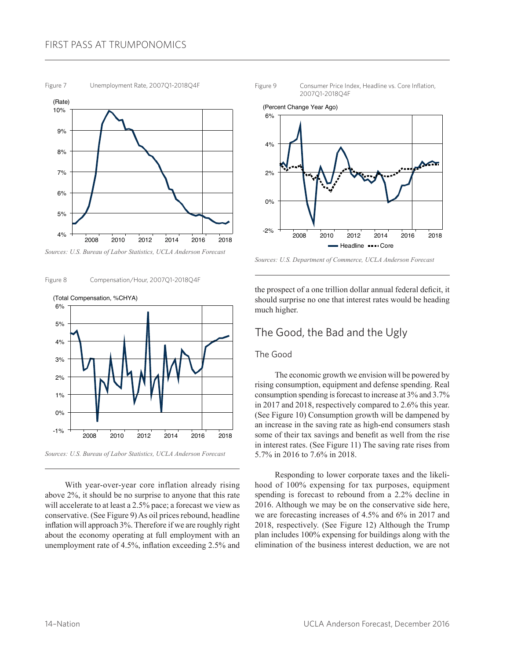#### FIRST PASS AT TRUMPONOMICS

Figure 7 Unemployment Rate, 2007Q1-2018Q4F



*Sources: U.S. Bureau of Labor Statistics, UCLA Anderson Forecast*





*Sources: U.S. Bureau of Labor Statistics, UCLA Anderson Forecast*

With year-over-year core inflation already rising above 2%, it should be no surprise to anyone that this rate will accelerate to at least a 2.5% pace; a forecast we view as conservative. (See Figure 9) As oil prices rebound, headline inflation will approach 3%. Therefore if we are roughly right about the economy operating at full employment with an unemployment rate of 4.5%, inflation exceeding 2.5% and





*Sources: U.S. Department of Commerce, UCLA Anderson Forecast*

the prospect of a one trillion dollar annual federal deficit, it should surprise no one that interest rates would be heading much higher.

#### The Good, the Bad and the Ugly

#### The Good

The economic growth we envision will be powered by rising consumption, equipment and defense spending. Real consumption spending is forecast to increase at 3% and 3.7% in 2017 and 2018, respectively compared to 2.6% this year. (See Figure 10) Consumption growth will be dampened by an increase in the saving rate as high-end consumers stash some of their tax savings and benefit as well from the rise in interest rates. (See Figure 11) The saving rate rises from 5.7% in 2016 to 7.6% in 2018.

Responding to lower corporate taxes and the likelihood of 100% expensing for tax purposes, equipment spending is forecast to rebound from a 2.2% decline in 2016. Although we may be on the conservative side here, we are forecasting increases of 4.5% and 6% in 2017 and 2018, respectively. (See Figure 12) Although the Trump plan includes 100% expensing for buildings along with the elimination of the business interest deduction, we are not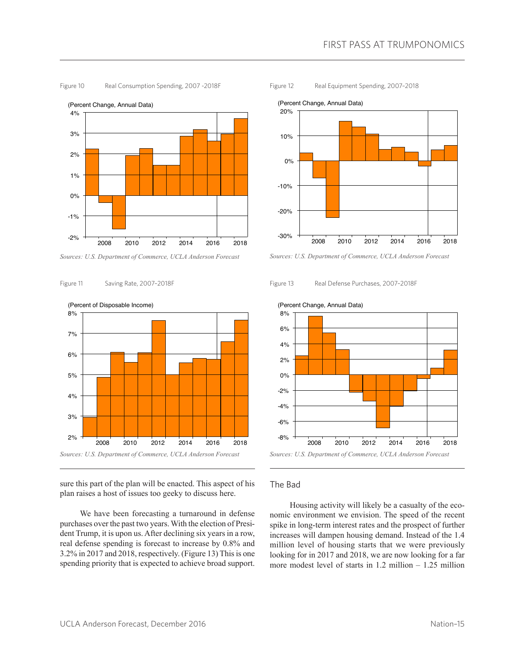

Figure 10 Real Consumption Spending, 2007 - 2018 F

Figure 12 Real Equipment Spending, 2007–2018



*Sources: U.S. Department of Commerce, UCLA Anderson Forecast*

Figure 13 Real Defense Purchases, 2007-2018F



Figure 11 Saving Rate, 2007–2018F

sure this part of the plan will be enacted. This aspect of his plan raises a host of issues too geeky to discuss here.

We have been forecasting a turnaround in defense purchases over the past two years. With the election of President Trump, it is upon us. After declining six years in a row, real defense spending is forecast to increase by 0.8% and 3.2% in 2017 and 2018, respectively. (Figure 13) This is one spending priority that is expected to achieve broad support.



#### (Percent Change, Annual Data)

*Sources: U.S. Department of Commerce, UCLA Anderson Forecast* 2008 2010 2012 2014 2016 2018

#### The Bad

-6% -8%

Housing activity will likely be a casualty of the economic environment we envision. The speed of the recent spike in long-term interest rates and the prospect of further increases will dampen housing demand. Instead of the 1.4 million level of housing starts that we were previously looking for in 2017 and 2018, we are now looking for a far more modest level of starts in 1.2 million – 1.25 million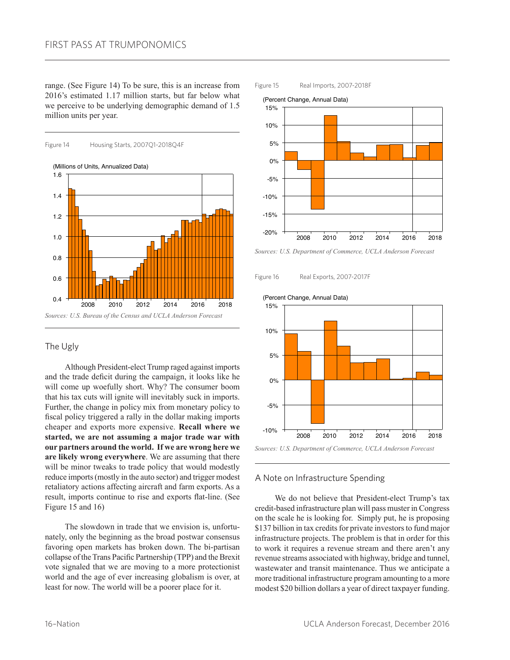range. (See Figure 14) To be sure, this is an increase from 2016's estimated 1.17 million starts, but far below what we perceive to be underlying demographic demand of 1.5 million units per year.



#### The Ugly

Although President-elect Trump raged against imports and the trade deficit during the campaign, it looks like he will come up woefully short. Why? The consumer boom that his tax cuts will ignite will inevitably suck in imports. Further, the change in policy mix from monetary policy to fiscal policy triggered a rally in the dollar making imports cheaper and exports more expensive. **Recall where we started, we are not assuming a major trade war with our partners around the world. If we are wrong here we are likely wrong everywhere**. We are assuming that there will be minor tweaks to trade policy that would modestly reduce imports (mostly in the auto sector) and trigger modest retaliatory actions affecting aircraft and farm exports. As a result, imports continue to rise and exports flat-line. (See Figure 15 and 16)

The slowdown in trade that we envision is, unfortunately, only the beginning as the broad postwar consensus favoring open markets has broken down. The bi-partisan collapse of the Trans Pacific Partnership (TPP) and the Brexit vote signaled that we are moving to a more protectionist world and the age of ever increasing globalism is over, at least for now. The world will be a poorer place for it.

## 15% 10% 5% 0% -5% -10% (Percent Change, Annual Data)

#### *Sources: U.S. Department of Commerce, UCLA Anderson Forecast*

2008 2010 2012 2014 2016 2018

Figure 16 Real Exports, 2007-2017F

Figure 15 Real Imports, 2007-2018F

(Percent Change, Annual Data)

-15%

-20%





#### A Note on Infrastructure Spending

We do not believe that President-elect Trump's tax credit-based infrastructure plan will pass muster in Congress on the scale he is looking for. Simply put, he is proposing \$137 billion in tax credits for private investors to fund major infrastructure projects. The problem is that in order for this to work it requires a revenue stream and there aren't any revenue streams associated with highway, bridge and tunnel, wastewater and transit maintenance. Thus we anticipate a more traditional infrastructure program amounting to a more modest \$20 billion dollars a year of direct taxpayer funding.